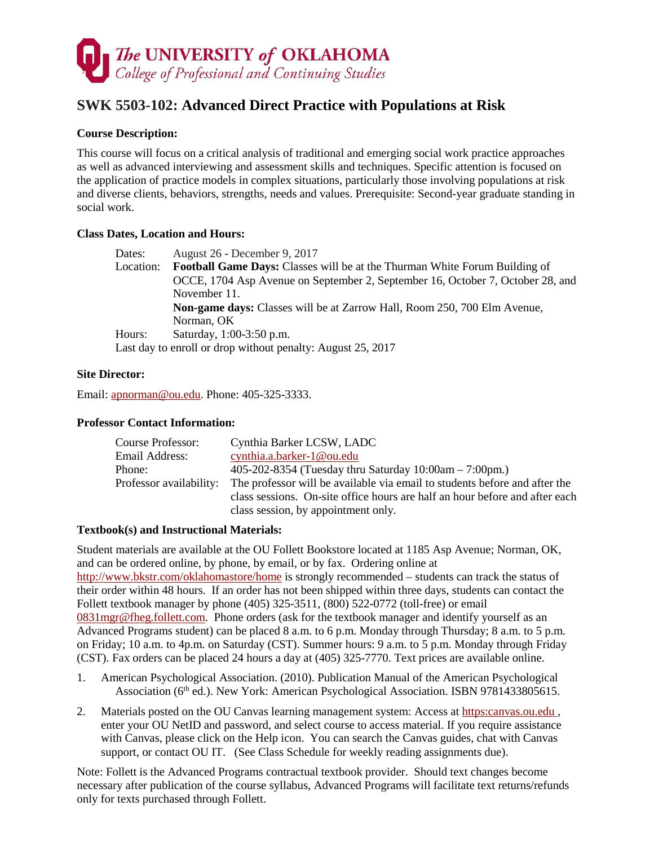

# **SWK 5503-102: Advanced Direct Practice with Populations at Risk**

# **Course Description:**

This course will focus on a critical analysis of traditional and emerging social work practice approaches as well as advanced interviewing and assessment skills and techniques. Specific attention is focused on the application of practice models in complex situations, particularly those involving populations at risk and diverse clients, behaviors, strengths, needs and values. Prerequisite: Second-year graduate standing in social work.

### **Class Dates, Location and Hours:**

| Dates:    | August 26 - December 9, 2017                                                      |
|-----------|-----------------------------------------------------------------------------------|
| Location: | <b>Football Game Days:</b> Classes will be at the Thurman White Forum Building of |
|           | OCCE, 1704 Asp Avenue on September 2, September 16, October 7, October 28, and    |
|           | November 11.                                                                      |
|           | <b>Non-game days:</b> Classes will be at Zarrow Hall, Room 250, 700 Elm Avenue,   |
|           | Norman, OK                                                                        |
| Hours:    | Saturday, 1:00-3:50 p.m.                                                          |
|           | Last day to enroll or drop without penalty: August 25, 2017                       |
|           |                                                                                   |

### **Site Director:**

Email: [apnorman@ou.edu.](mailto:apnorman@ou.edu) Phone: 405-325-3333.

### **Professor Contact Information:**

| Course Professor:       | Cynthia Barker LCSW, LADC                                                   |
|-------------------------|-----------------------------------------------------------------------------|
| Email Address:          | cynthia.a.barker-1@ou.edu                                                   |
| Phone:                  | 405-202-8354 (Tuesday thru Saturday $10:00am - 7:00pm.$ )                   |
| Professor availability: | The professor will be available via email to students before and after the  |
|                         | class sessions. On-site office hours are half an hour before and after each |
|                         | class session, by appointment only.                                         |

### **Textbook(s) and Instructional Materials:**

Student materials are available at the OU Follett Bookstore located at 1185 Asp Avenue; Norman, OK, and can be ordered online, by phone, by email, or by fax. Ordering online at <http://www.bkstr.com/oklahomastore/home> is strongly recommended – students can track the status of their order within 48 hours. If an order has not been shipped within three days, students can contact the Follett textbook manager by phone (405) 325-3511, (800) 522-0772 (toll-free) or email [0831mgr@fheg.follett.com.](mailto:0831mgr@fheg.follett.com) Phone orders (ask for the textbook manager and identify yourself as an Advanced Programs student) can be placed 8 a.m. to 6 p.m. Monday through Thursday; 8 a.m. to 5 p.m. on Friday; 10 a.m. to 4p.m. on Saturday (CST). Summer hours: 9 a.m. to 5 p.m. Monday through Friday (CST). Fax orders can be placed 24 hours a day at (405) 325-7770. Text prices are available online.

- 1. American Psychological Association. (2010). Publication Manual of the American Psychological Association (6th ed.). New York: American Psychological Association. ISBN 9781433805615.
- 2. Materials posted on the OU Canvas learning management system: Access a[t https:canvas.ou.edu](http://canvas.ou.edu/) , enter your OU NetID and password, and select course to access material. If you require assistance with Canvas, please click on the Help icon. You can search the Canvas guides, chat with Canvas support, or contact OU IT. (See Class Schedule for weekly reading assignments due).

Note: Follett is the Advanced Programs contractual textbook provider. Should text changes become necessary after publication of the course syllabus, Advanced Programs will facilitate text returns/refunds only for texts purchased through Follett.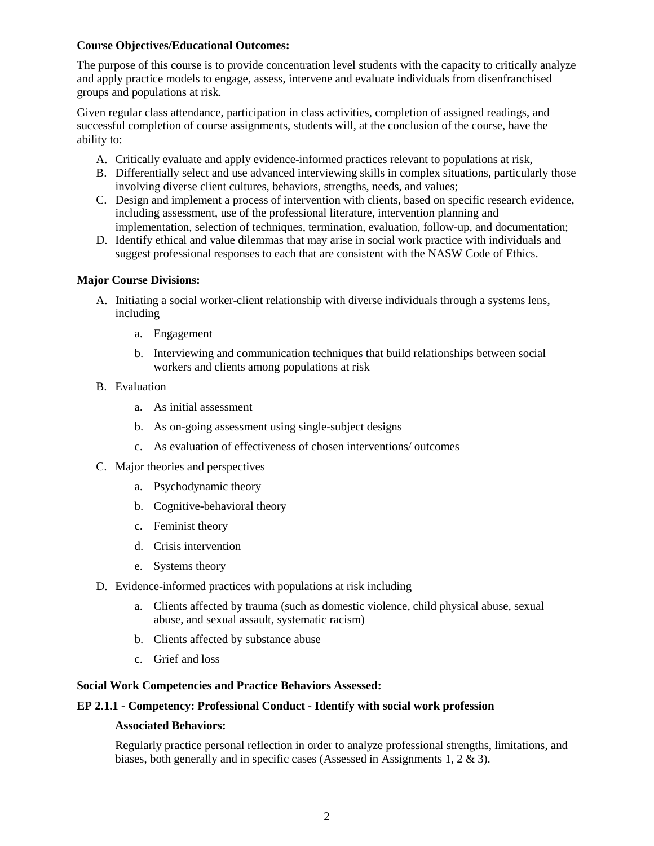### **Course Objectives/Educational Outcomes:**

The purpose of this course is to provide concentration level students with the capacity to critically analyze and apply practice models to engage, assess, intervene and evaluate individuals from disenfranchised groups and populations at risk.

Given regular class attendance, participation in class activities, completion of assigned readings, and successful completion of course assignments, students will, at the conclusion of the course, have the ability to:

- A. Critically evaluate and apply evidence-informed practices relevant to populations at risk,
- B. Differentially select and use advanced interviewing skills in complex situations, particularly those involving diverse client cultures, behaviors, strengths, needs, and values;
- C. Design and implement a process of intervention with clients, based on specific research evidence, including assessment, use of the professional literature, intervention planning and implementation, selection of techniques, termination, evaluation, follow-up, and documentation;
- D. Identify ethical and value dilemmas that may arise in social work practice with individuals and suggest professional responses to each that are consistent with the NASW Code of Ethics.

#### **Major Course Divisions:**

- A. Initiating a social worker-client relationship with diverse individuals through a systems lens, including
	- a. Engagement
	- b. Interviewing and communication techniques that build relationships between social workers and clients among populations at risk
- B. Evaluation
	- a. As initial assessment
	- b. As on-going assessment using single-subject designs
	- c. As evaluation of effectiveness of chosen interventions/ outcomes
- C. Major theories and perspectives
	- a. Psychodynamic theory
	- b. Cognitive-behavioral theory
	- c. Feminist theory
	- d. Crisis intervention
	- e. Systems theory
- D. Evidence-informed practices with populations at risk including
	- a. Clients affected by trauma (such as domestic violence, child physical abuse, sexual abuse, and sexual assault, systematic racism)
	- b. Clients affected by substance abuse
	- c. Grief and loss

#### **Social Work Competencies and Practice Behaviors Assessed:**

#### **EP 2.1.1 - Competency: Professional Conduct - Identify with social work profession**

#### **Associated Behaviors:**

Regularly practice personal reflection in order to analyze professional strengths, limitations, and biases, both generally and in specific cases (Assessed in Assignments 1, 2 & 3).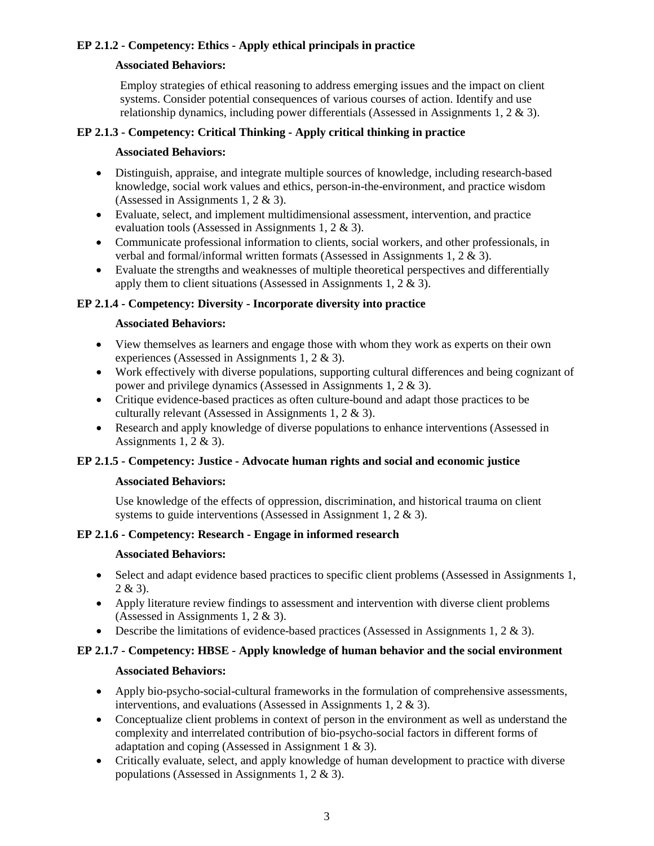# **EP 2.1.2 - Competency: Ethics - Apply ethical principals in practice**

### **Associated Behaviors:**

Employ strategies of ethical reasoning to address emerging issues and the impact on client systems. Consider potential consequences of various courses of action. Identify and use relationship dynamics, including power differentials (Assessed in Assignments 1, 2 & 3).

# **EP 2.1.3 - Competency: Critical Thinking - Apply critical thinking in practice**

### **Associated Behaviors:**

- Distinguish, appraise, and integrate multiple sources of knowledge, including research-based knowledge, social work values and ethics, person-in-the-environment, and practice wisdom (Assessed in Assignments 1, 2 & 3).
- Evaluate, select, and implement multidimensional assessment, intervention, and practice evaluation tools (Assessed in Assignments 1, 2 & 3).
- Communicate professional information to clients, social workers, and other professionals, in verbal and formal/informal written formats (Assessed in Assignments 1, 2 & 3).
- Evaluate the strengths and weaknesses of multiple theoretical perspectives and differentially apply them to client situations (Assessed in Assignments 1, 2 & 3).

# **EP 2.1.4 - Competency: Diversity - Incorporate diversity into practice**

# **Associated Behaviors:**

- View themselves as learners and engage those with whom they work as experts on their own experiences (Assessed in Assignments 1, 2 & 3).
- Work effectively with diverse populations, supporting cultural differences and being cognizant of power and privilege dynamics (Assessed in Assignments 1, 2 & 3).
- Critique evidence-based practices as often culture-bound and adapt those practices to be culturally relevant (Assessed in Assignments 1, 2 & 3).
- Research and apply knowledge of diverse populations to enhance interventions (Assessed in Assignments 1, 2  $\&$  3).

# **EP 2.1.5 - Competency: Justice - Advocate human rights and social and economic justice**

### **Associated Behaviors:**

Use knowledge of the effects of oppression, discrimination, and historical trauma on client systems to guide interventions (Assessed in Assignment 1, 2 & 3).

# **EP 2.1.6 - Competency: Research - Engage in informed research**

### **Associated Behaviors:**

- Select and adapt evidence based practices to specific client problems (Assessed in Assignments 1,  $2 & 3$ ).
- Apply literature review findings to assessment and intervention with diverse client problems (Assessed in Assignments 1, 2 & 3).
- Describe the limitations of evidence-based practices (Assessed in Assignments 1, 2  $\&$  3).

# **EP 2.1.7 - Competency: HBSE - Apply knowledge of human behavior and the social environment**

### **Associated Behaviors:**

- Apply bio-psycho-social-cultural frameworks in the formulation of comprehensive assessments, interventions, and evaluations (Assessed in Assignments 1, 2 & 3).
- Conceptualize client problems in context of person in the environment as well as understand the complexity and interrelated contribution of bio-psycho-social factors in different forms of adaptation and coping (Assessed in Assignment 1 & 3).
- Critically evaluate, select, and apply knowledge of human development to practice with diverse populations (Assessed in Assignments 1, 2 & 3).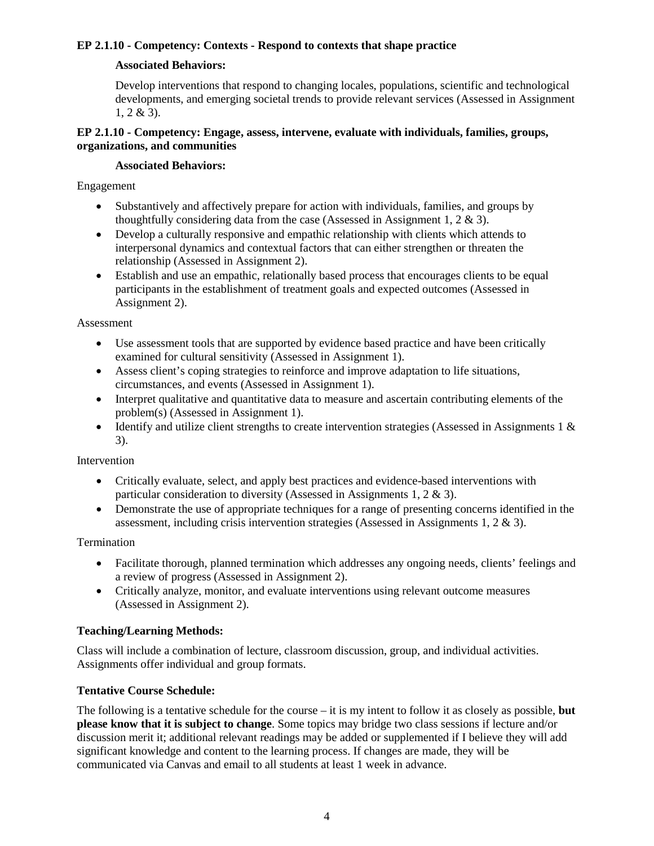# **EP 2.1.10 - Competency: Contexts - Respond to contexts that shape practice**

# **Associated Behaviors:**

Develop interventions that respond to changing locales, populations, scientific and technological developments, and emerging societal trends to provide relevant services (Assessed in Assignment 1, 2 & 3).

### **EP 2.1.10 - Competency: Engage, assess, intervene, evaluate with individuals, families, groups, organizations, and communities**

### **Associated Behaviors:**

Engagement

- Substantively and affectively prepare for action with individuals, families, and groups by thoughtfully considering data from the case (Assessed in Assignment 1, 2 & 3).
- Develop a culturally responsive and empathic relationship with clients which attends to interpersonal dynamics and contextual factors that can either strengthen or threaten the relationship (Assessed in Assignment 2).
- Establish and use an empathic, relationally based process that encourages clients to be equal participants in the establishment of treatment goals and expected outcomes (Assessed in Assignment 2).

### Assessment

- Use assessment tools that are supported by evidence based practice and have been critically examined for cultural sensitivity (Assessed in Assignment 1).
- Assess client's coping strategies to reinforce and improve adaptation to life situations, circumstances, and events (Assessed in Assignment 1).
- Interpret qualitative and quantitative data to measure and ascertain contributing elements of the problem(s) (Assessed in Assignment 1).
- Identify and utilize client strengths to create intervention strategies (Assessed in Assignments 1 & 3).

### Intervention

- Critically evaluate, select, and apply best practices and evidence-based interventions with particular consideration to diversity (Assessed in Assignments 1, 2 & 3).
- Demonstrate the use of appropriate techniques for a range of presenting concerns identified in the assessment, including crisis intervention strategies (Assessed in Assignments 1,  $2 \& 3$ ).

Termination

- Facilitate thorough, planned termination which addresses any ongoing needs, clients' feelings and a review of progress (Assessed in Assignment 2).
- Critically analyze, monitor, and evaluate interventions using relevant outcome measures (Assessed in Assignment 2).

# **Teaching/Learning Methods:**

Class will include a combination of lecture, classroom discussion, group, and individual activities. Assignments offer individual and group formats.

# **Tentative Course Schedule:**

The following is a tentative schedule for the course – it is my intent to follow it as closely as possible, **but please know that it is subject to change**. Some topics may bridge two class sessions if lecture and/or discussion merit it; additional relevant readings may be added or supplemented if I believe they will add significant knowledge and content to the learning process. If changes are made, they will be communicated via Canvas and email to all students at least 1 week in advance.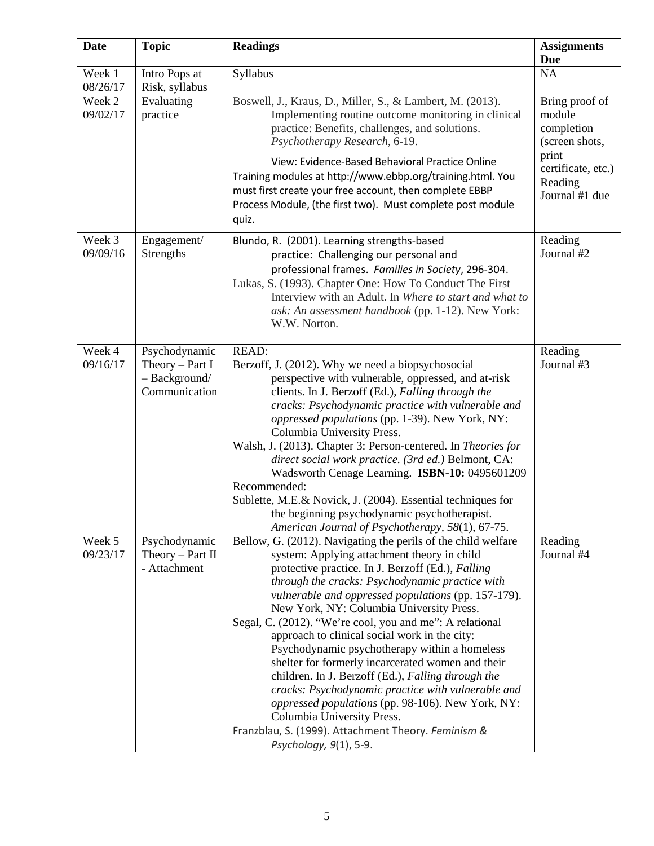| <b>Date</b>        | <b>Topic</b>                                                         | <b>Readings</b>                                                                                                                                                                                                                                                                                                                                                                                                                                                                                                                                                                                                                                                                                                                                                                                                            | <b>Assignments</b><br><b>Due</b>                                                                                     |
|--------------------|----------------------------------------------------------------------|----------------------------------------------------------------------------------------------------------------------------------------------------------------------------------------------------------------------------------------------------------------------------------------------------------------------------------------------------------------------------------------------------------------------------------------------------------------------------------------------------------------------------------------------------------------------------------------------------------------------------------------------------------------------------------------------------------------------------------------------------------------------------------------------------------------------------|----------------------------------------------------------------------------------------------------------------------|
| Week 1<br>08/26/17 | Intro Pops at<br>Risk, syllabus                                      | Syllabus                                                                                                                                                                                                                                                                                                                                                                                                                                                                                                                                                                                                                                                                                                                                                                                                                   | $\rm NA$                                                                                                             |
| Week 2<br>09/02/17 | Evaluating<br>practice                                               | Boswell, J., Kraus, D., Miller, S., & Lambert, M. (2013).<br>Implementing routine outcome monitoring in clinical<br>practice: Benefits, challenges, and solutions.<br>Psychotherapy Research, 6-19.<br>View: Evidence-Based Behavioral Practice Online<br>Training modules at http://www.ebbp.org/training.html. You<br>must first create your free account, then complete EBBP<br>Process Module, (the first two). Must complete post module<br>quiz.                                                                                                                                                                                                                                                                                                                                                                     | Bring proof of<br>module<br>completion<br>(screen shots,<br>print<br>certificate, etc.)<br>Reading<br>Journal #1 due |
| Week 3<br>09/09/16 | Engagement/<br>Strengths                                             | Blundo, R. (2001). Learning strengths-based<br>practice: Challenging our personal and<br>professional frames. Families in Society, 296-304.<br>Lukas, S. (1993). Chapter One: How To Conduct The First<br>Interview with an Adult. In Where to start and what to<br>ask: An assessment handbook (pp. 1-12). New York:<br>W.W. Norton.                                                                                                                                                                                                                                                                                                                                                                                                                                                                                      | Reading<br>Journal #2                                                                                                |
| Week 4<br>09/16/17 | Psychodynamic<br>Theory $-$ Part I<br>- Background/<br>Communication | <b>READ:</b><br>Berzoff, J. (2012). Why we need a biopsychosocial<br>perspective with vulnerable, oppressed, and at-risk<br>clients. In J. Berzoff (Ed.), Falling through the<br>cracks: Psychodynamic practice with vulnerable and<br>oppressed populations (pp. 1-39). New York, NY:<br>Columbia University Press.<br>Walsh, J. (2013). Chapter 3: Person-centered. In Theories for<br>direct social work practice. (3rd ed.) Belmont, CA:<br>Wadsworth Cenage Learning. ISBN-10: 0495601209<br>Recommended:<br>Sublette, M.E.& Novick, J. (2004). Essential techniques for<br>the beginning psychodynamic psychotherapist.<br>American Journal of Psychotherapy, 58(1), 67-75.                                                                                                                                          | Reading<br>Journal #3                                                                                                |
| Week 5<br>09/23/17 | Psychodynamic<br>Theory $-$ Part II<br>- Attachment                  | Bellow, G. (2012). Navigating the perils of the child welfare<br>system: Applying attachment theory in child<br>protective practice. In J. Berzoff (Ed.), Falling<br>through the cracks: Psychodynamic practice with<br>vulnerable and oppressed populations (pp. 157-179).<br>New York, NY: Columbia University Press.<br>Segal, C. (2012). "We're cool, you and me": A relational<br>approach to clinical social work in the city:<br>Psychodynamic psychotherapy within a homeless<br>shelter for formerly incarcerated women and their<br>children. In J. Berzoff (Ed.), Falling through the<br>cracks: Psychodynamic practice with vulnerable and<br>oppressed populations (pp. 98-106). New York, NY:<br>Columbia University Press.<br>Franzblau, S. (1999). Attachment Theory. Feminism &<br>Psychology, 9(1), 5-9. | Reading<br>Journal #4                                                                                                |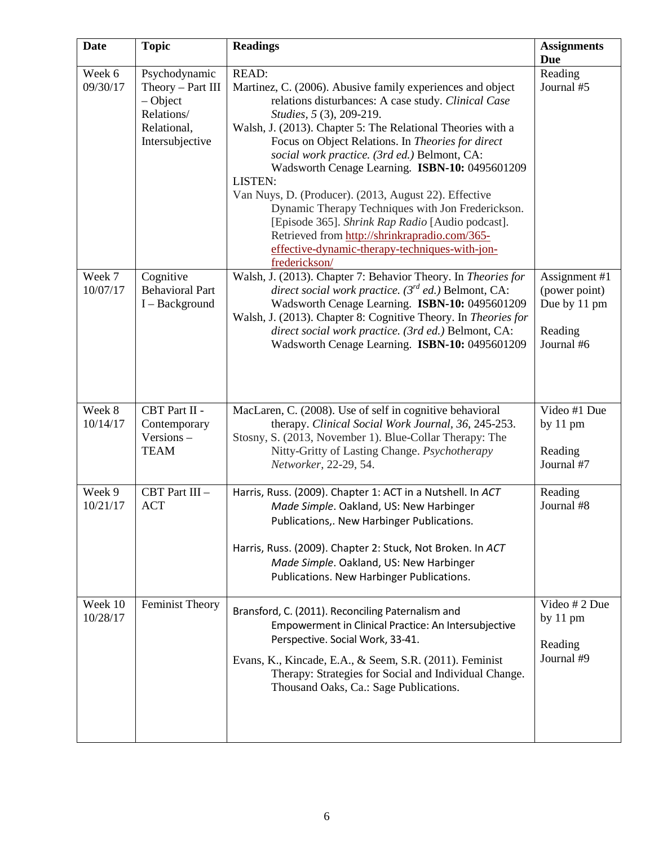| <b>Date</b>         | <b>Topic</b>                                                                                    | <b>Readings</b>                                                                                                                                                                                                                                                                                                                                                                                                                                                                                                                                                                                                                                                                      | <b>Assignments</b><br><b>Due</b>                                        |
|---------------------|-------------------------------------------------------------------------------------------------|--------------------------------------------------------------------------------------------------------------------------------------------------------------------------------------------------------------------------------------------------------------------------------------------------------------------------------------------------------------------------------------------------------------------------------------------------------------------------------------------------------------------------------------------------------------------------------------------------------------------------------------------------------------------------------------|-------------------------------------------------------------------------|
| Week 6<br>09/30/17  | Psychodynamic<br>Theory - Part III<br>$-Object$<br>Relations/<br>Relational,<br>Intersubjective | <b>READ:</b><br>Martinez, C. (2006). Abusive family experiences and object<br>relations disturbances: A case study. Clinical Case<br>Studies, 5 (3), 209-219.<br>Walsh, J. (2013). Chapter 5: The Relational Theories with a<br>Focus on Object Relations. In Theories for direct<br>social work practice. (3rd ed.) Belmont, CA:<br>Wadsworth Cenage Learning. ISBN-10: 0495601209<br>LISTEN:<br>Van Nuys, D. (Producer). (2013, August 22). Effective<br>Dynamic Therapy Techniques with Jon Frederickson.<br>[Episode 365]. Shrink Rap Radio [Audio podcast].<br>Retrieved from http://shrinkrapradio.com/365-<br>effective-dynamic-therapy-techniques-with-jon-<br>frederickson/ | Reading<br>Journal #5                                                   |
| Week 7<br>10/07/17  | Cognitive<br><b>Behavioral Part</b><br>I - Background                                           | Walsh, J. (2013). Chapter 7: Behavior Theory. In Theories for<br>direct social work practice. (3rd ed.) Belmont, CA:<br>Wadsworth Cenage Learning. ISBN-10: 0495601209<br>Walsh, J. (2013). Chapter 8: Cognitive Theory. In Theories for<br>direct social work practice. (3rd ed.) Belmont, CA:<br>Wadsworth Cenage Learning. ISBN-10: 0495601209                                                                                                                                                                                                                                                                                                                                    | Assignment #1<br>(power point)<br>Due by 11 pm<br>Reading<br>Journal #6 |
| Week 8<br>10/14/17  | CBT Part II -<br>Contemporary<br>Versions-<br><b>TEAM</b>                                       | MacLaren, C. (2008). Use of self in cognitive behavioral<br>therapy. Clinical Social Work Journal, 36, 245-253.<br>Stosny, S. (2013, November 1). Blue-Collar Therapy: The<br>Nitty-Gritty of Lasting Change. Psychotherapy<br>Networker, 22-29, 54.                                                                                                                                                                                                                                                                                                                                                                                                                                 | Video #1 Due<br>by $11 \text{ pm}$<br>Reading<br>Journal #7             |
| Week 9<br>10/21/17  | CBT Part III -<br><b>ACT</b>                                                                    | Harris, Russ. (2009). Chapter 1: ACT in a Nutshell. In ACT<br>Made Simple. Oakland, US: New Harbinger<br>Publications,. New Harbinger Publications.<br>Harris, Russ. (2009). Chapter 2: Stuck, Not Broken. In ACT<br>Made Simple. Oakland, US: New Harbinger<br>Publications. New Harbinger Publications.                                                                                                                                                                                                                                                                                                                                                                            | Reading<br>Journal #8                                                   |
| Week 10<br>10/28/17 | <b>Feminist Theory</b>                                                                          | Bransford, C. (2011). Reconciling Paternalism and<br>Empowerment in Clinical Practice: An Intersubjective<br>Perspective. Social Work, 33-41.<br>Evans, K., Kincade, E.A., & Seem, S.R. (2011). Feminist<br>Therapy: Strategies for Social and Individual Change.<br>Thousand Oaks, Ca.: Sage Publications.                                                                                                                                                                                                                                                                                                                                                                          | Video # 2 Due<br>by 11 pm<br>Reading<br>Journal #9                      |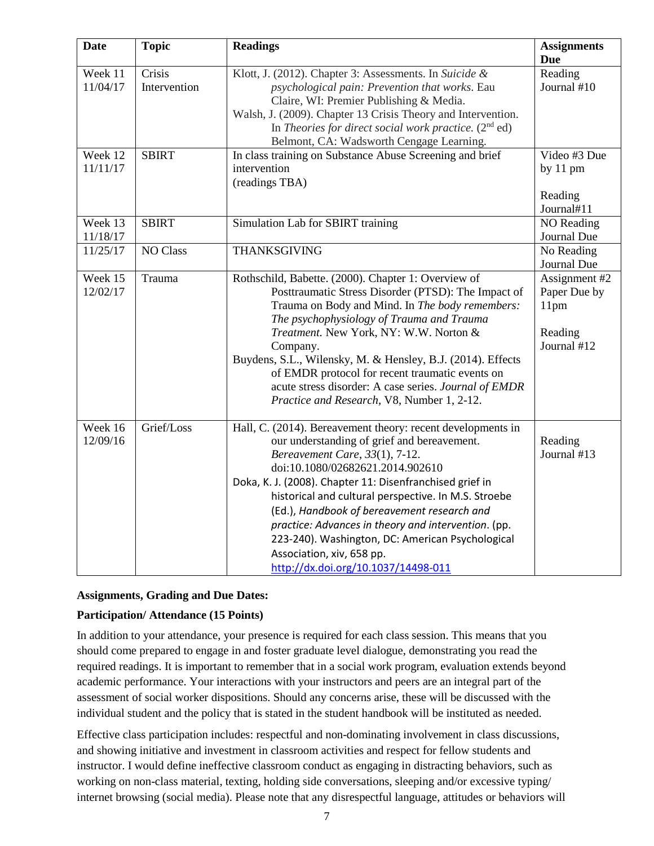| <b>Date</b>         | <b>Topic</b>           | <b>Readings</b>                                                                                                                                                                                                                                                                                                                                                                                                                                                                                                                    | <b>Assignments</b><br><b>Due</b>                                |
|---------------------|------------------------|------------------------------------------------------------------------------------------------------------------------------------------------------------------------------------------------------------------------------------------------------------------------------------------------------------------------------------------------------------------------------------------------------------------------------------------------------------------------------------------------------------------------------------|-----------------------------------------------------------------|
| Week 11<br>11/04/17 | Crisis<br>Intervention | Klott, J. (2012). Chapter 3: Assessments. In Suicide &<br>psychological pain: Prevention that works. Eau<br>Claire, WI: Premier Publishing & Media.<br>Walsh, J. (2009). Chapter 13 Crisis Theory and Intervention.<br>In Theories for direct social work practice. $(2nd ed)$<br>Belmont, CA: Wadsworth Cengage Learning.                                                                                                                                                                                                         | Reading<br>Journal #10                                          |
| Week 12<br>11/11/17 | <b>SBIRT</b>           | In class training on Substance Abuse Screening and brief<br>intervention<br>(readings TBA)                                                                                                                                                                                                                                                                                                                                                                                                                                         | Video #3 Due<br>by 11 pm<br>Reading<br>Journal#11               |
| Week 13<br>11/18/17 | <b>SBIRT</b>           | Simulation Lab for SBIRT training                                                                                                                                                                                                                                                                                                                                                                                                                                                                                                  | NO Reading<br>Journal Due                                       |
| 11/25/17            | <b>NO Class</b>        | THANKSGIVING                                                                                                                                                                                                                                                                                                                                                                                                                                                                                                                       | No Reading<br>Journal Due                                       |
| Week 15<br>12/02/17 | Trauma                 | Rothschild, Babette. (2000). Chapter 1: Overview of<br>Posttraumatic Stress Disorder (PTSD): The Impact of<br>Trauma on Body and Mind. In The body remembers:<br>The psychophysiology of Trauma and Trauma<br>Treatment. New York, NY: W.W. Norton &<br>Company.<br>Buydens, S.L., Wilensky, M. & Hensley, B.J. (2014). Effects<br>of EMDR protocol for recent traumatic events on<br>acute stress disorder: A case series. Journal of EMDR<br>Practice and Research, V8, Number 1, 2-12.                                          | Assignment #2<br>Paper Due by<br>11pm<br>Reading<br>Journal #12 |
| Week 16<br>12/09/16 | Grief/Loss             | Hall, C. (2014). Bereavement theory: recent developments in<br>our understanding of grief and bereavement.<br>Bereavement Care, 33(1), 7-12.<br>doi:10.1080/02682621.2014.902610<br>Doka, K. J. (2008). Chapter 11: Disenfranchised grief in<br>historical and cultural perspective. In M.S. Stroebe<br>(Ed.), Handbook of bereavement research and<br>practice: Advances in theory and intervention. (pp.<br>223-240). Washington, DC: American Psychological<br>Association, xiv, 658 pp.<br>http://dx.doi.org/10.1037/14498-011 | Reading<br>Journal #13                                          |

### **Assignments, Grading and Due Dates:**

### **Participation/ Attendance (15 Points)**

In addition to your attendance, your presence is required for each class session. This means that you should come prepared to engage in and foster graduate level dialogue, demonstrating you read the required readings. It is important to remember that in a social work program, evaluation extends beyond academic performance. Your interactions with your instructors and peers are an integral part of the assessment of social worker dispositions. Should any concerns arise, these will be discussed with the individual student and the policy that is stated in the student handbook will be instituted as needed.

Effective class participation includes: respectful and non-dominating involvement in class discussions, and showing initiative and investment in classroom activities and respect for fellow students and instructor. I would define ineffective classroom conduct as engaging in distracting behaviors, such as working on non-class material, texting, holding side conversations, sleeping and/or excessive typing/ internet browsing (social media). Please note that any disrespectful language, attitudes or behaviors will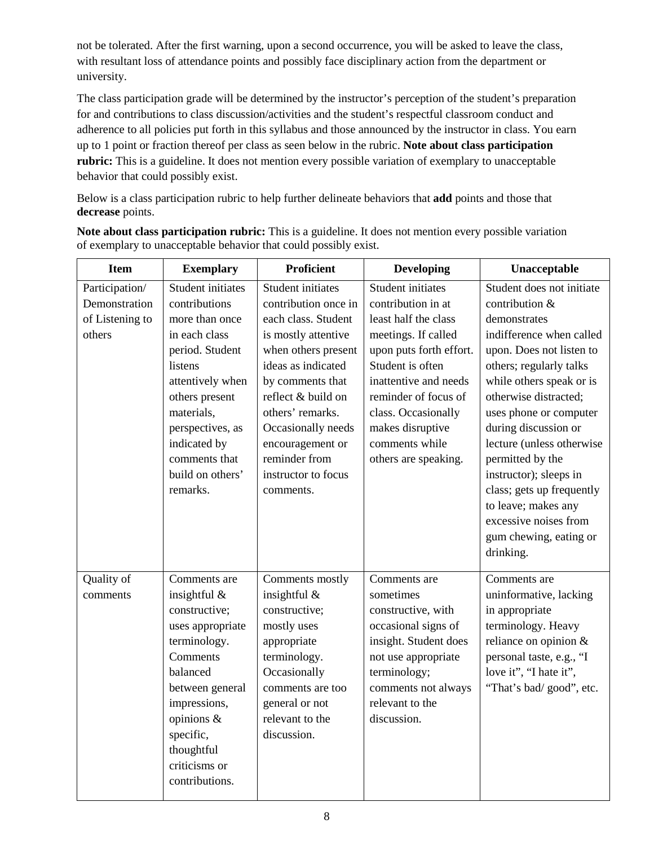not be tolerated. After the first warning, upon a second occurrence, you will be asked to leave the class, with resultant loss of attendance points and possibly face disciplinary action from the department or university.

The class participation grade will be determined by the instructor's perception of the student's preparation for and contributions to class discussion/activities and the student's respectful classroom conduct and adherence to all policies put forth in this syllabus and those announced by the instructor in class. You earn up to 1 point or fraction thereof per class as seen below in the rubric. **Note about class participation rubric:** This is a guideline. It does not mention every possible variation of exemplary to unacceptable behavior that could possibly exist.

Below is a class participation rubric to help further delineate behaviors that **add** points and those that **decrease** points.

**Note about class participation rubric:** This is a guideline. It does not mention every possible variation of exemplary to unacceptable behavior that could possibly exist.

| <b>Item</b>                                                  | <b>Exemplary</b>                                                                                                                                                                                                           | <b>Proficient</b>                                                                                                                                                                                  | <b>Developing</b>                                                                                                                                                                                             | Unacceptable                                                                                                                                                                                                                  |
|--------------------------------------------------------------|----------------------------------------------------------------------------------------------------------------------------------------------------------------------------------------------------------------------------|----------------------------------------------------------------------------------------------------------------------------------------------------------------------------------------------------|---------------------------------------------------------------------------------------------------------------------------------------------------------------------------------------------------------------|-------------------------------------------------------------------------------------------------------------------------------------------------------------------------------------------------------------------------------|
| Participation/<br>Demonstration<br>of Listening to<br>others | Student initiates<br>contributions<br>more than once<br>in each class<br>period. Student<br>listens<br>attentively when<br>others present<br>materials,                                                                    | Student initiates<br>contribution once in<br>each class. Student<br>is mostly attentive<br>when others present<br>ideas as indicated<br>by comments that<br>reflect & build on<br>others' remarks. | Student initiates<br>contribution in at<br>least half the class<br>meetings. If called<br>upon puts forth effort.<br>Student is often<br>inattentive and needs<br>reminder of focus of<br>class. Occasionally | Student does not initiate<br>contribution &<br>demonstrates<br>indifference when called<br>upon. Does not listen to<br>others; regularly talks<br>while others speak or is<br>otherwise distracted;<br>uses phone or computer |
|                                                              | perspectives, as<br>indicated by<br>comments that<br>build on others'<br>remarks.                                                                                                                                          | Occasionally needs<br>encouragement or<br>reminder from<br>instructor to focus<br>comments.                                                                                                        | makes disruptive<br>comments while<br>others are speaking.                                                                                                                                                    | during discussion or<br>lecture (unless otherwise<br>permitted by the<br>instructor); sleeps in<br>class; gets up frequently<br>to leave; makes any<br>excessive noises from<br>gum chewing, eating or<br>drinking.           |
| Quality of<br>comments                                       | Comments are<br>insightful $&$<br>constructive;<br>uses appropriate<br>terminology.<br>Comments<br>balanced<br>between general<br>impressions,<br>opinions &<br>specific,<br>thoughtful<br>criticisms or<br>contributions. | Comments mostly<br>insightful &<br>constructive;<br>mostly uses<br>appropriate<br>terminology.<br>Occasionally<br>comments are too<br>general or not<br>relevant to the<br>discussion.             | Comments are<br>sometimes<br>constructive, with<br>occasional signs of<br>insight. Student does<br>not use appropriate<br>terminology;<br>comments not always<br>relevant to the<br>discussion.               | Comments are<br>uninformative, lacking<br>in appropriate<br>terminology. Heavy<br>reliance on opinion &<br>personal taste, e.g., "I<br>love it", "I hate it",<br>"That's bad/good", etc.                                      |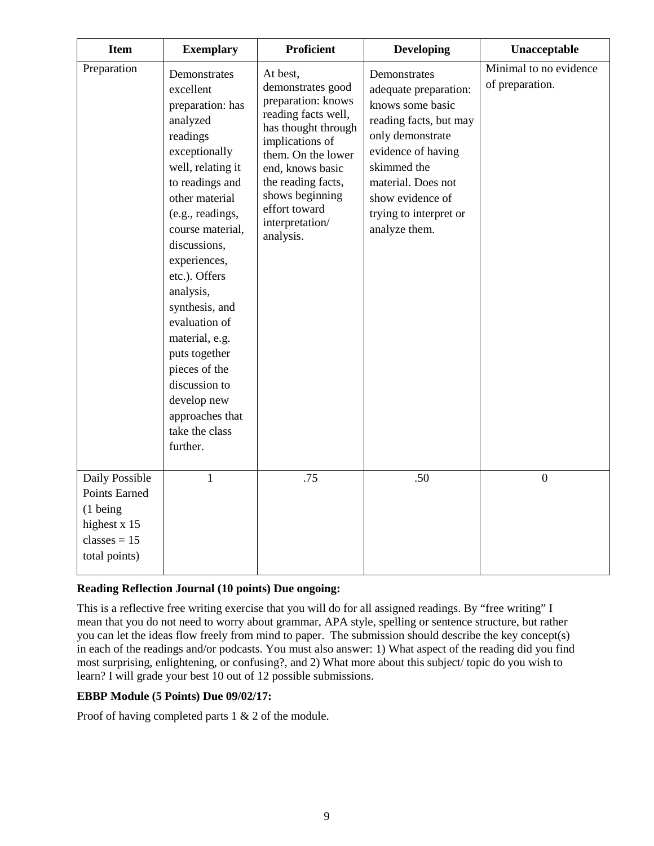| <b>Item</b>                                                                                               | <b>Exemplary</b>                                                                                                                                                                                                                                                                                                                                                                                                               | <b>Proficient</b>                                                                                                                                                                                                                                        | <b>Developing</b>                                                                                                                                                                                                                 | Unacceptable                              |
|-----------------------------------------------------------------------------------------------------------|--------------------------------------------------------------------------------------------------------------------------------------------------------------------------------------------------------------------------------------------------------------------------------------------------------------------------------------------------------------------------------------------------------------------------------|----------------------------------------------------------------------------------------------------------------------------------------------------------------------------------------------------------------------------------------------------------|-----------------------------------------------------------------------------------------------------------------------------------------------------------------------------------------------------------------------------------|-------------------------------------------|
| Preparation                                                                                               | Demonstrates<br>excellent<br>preparation: has<br>analyzed<br>readings<br>exceptionally<br>well, relating it<br>to readings and<br>other material<br>(e.g., readings,<br>course material,<br>discussions,<br>experiences,<br>etc.). Offers<br>analysis,<br>synthesis, and<br>evaluation of<br>material, e.g.<br>puts together<br>pieces of the<br>discussion to<br>develop new<br>approaches that<br>take the class<br>further. | At best,<br>demonstrates good<br>preparation: knows<br>reading facts well,<br>has thought through<br>implications of<br>them. On the lower<br>end, knows basic<br>the reading facts,<br>shows beginning<br>effort toward<br>interpretation/<br>analysis. | Demonstrates<br>adequate preparation:<br>knows some basic<br>reading facts, but may<br>only demonstrate<br>evidence of having<br>skimmed the<br>material. Does not<br>show evidence of<br>trying to interpret or<br>analyze them. | Minimal to no evidence<br>of preparation. |
| Daily Possible<br>Points Earned<br>$(1 \text{ being})$<br>highest x 15<br>classes $= 15$<br>total points) | 1                                                                                                                                                                                                                                                                                                                                                                                                                              | .75                                                                                                                                                                                                                                                      | .50                                                                                                                                                                                                                               | $\overline{0}$                            |

### **Reading Reflection Journal (10 points) Due ongoing:**

This is a reflective free writing exercise that you will do for all assigned readings. By "free writing" I mean that you do not need to worry about grammar, APA style, spelling or sentence structure, but rather you can let the ideas flow freely from mind to paper. The submission should describe the key concept(s) in each of the readings and/or podcasts. You must also answer: 1) What aspect of the reading did you find most surprising, enlightening, or confusing?, and 2) What more about this subject/ topic do you wish to learn? I will grade your best 10 out of 12 possible submissions.

### **EBBP Module (5 Points) Due 09/02/17:**

Proof of having completed parts 1 & 2 of the module.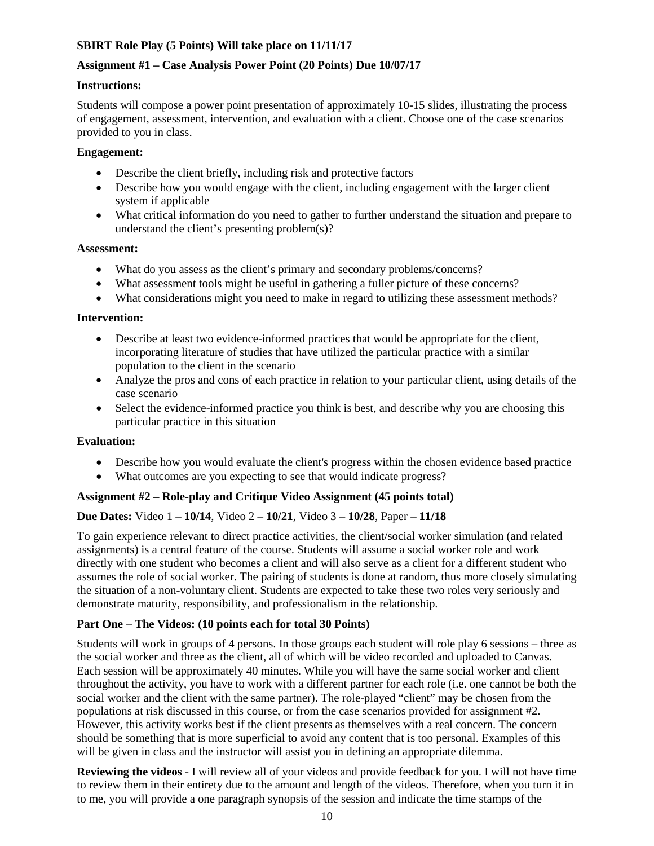# **SBIRT Role Play (5 Points) Will take place on 11/11/17**

### **Assignment #1 – Case Analysis Power Point (20 Points) Due 10/07/17**

### **Instructions:**

Students will compose a power point presentation of approximately 10-15 slides, illustrating the process of engagement, assessment, intervention, and evaluation with a client. Choose one of the case scenarios provided to you in class.

### **Engagement:**

- Describe the client briefly, including risk and protective factors
- Describe how you would engage with the client, including engagement with the larger client system if applicable
- What critical information do you need to gather to further understand the situation and prepare to understand the client's presenting problem(s)?

#### **Assessment:**

- What do you assess as the client's primary and secondary problems/concerns?
- What assessment tools might be useful in gathering a fuller picture of these concerns?
- What considerations might you need to make in regard to utilizing these assessment methods?

### **Intervention:**

- Describe at least two evidence-informed practices that would be appropriate for the client, incorporating literature of studies that have utilized the particular practice with a similar population to the client in the scenario
- Analyze the pros and cons of each practice in relation to your particular client, using details of the case scenario
- Select the evidence-informed practice you think is best, and describe why you are choosing this particular practice in this situation

### **Evaluation:**

- Describe how you would evaluate the client's progress within the chosen evidence based practice
- What outcomes are you expecting to see that would indicate progress?

# **Assignment #2 – Role-play and Critique Video Assignment (45 points total)**

# **Due Dates:** Video 1 – **10/14**, Video 2 – **10/21**, Video 3 – **10/28**, Paper – **11/18**

To gain experience relevant to direct practice activities, the client/social worker simulation (and related assignments) is a central feature of the course. Students will assume a social worker role and work directly with one student who becomes a client and will also serve as a client for a different student who assumes the role of social worker. The pairing of students is done at random, thus more closely simulating the situation of a non-voluntary client. Students are expected to take these two roles very seriously and demonstrate maturity, responsibility, and professionalism in the relationship.

### **Part One – The Videos: (10 points each for total 30 Points)**

Students will work in groups of 4 persons. In those groups each student will role play 6 sessions – three as the social worker and three as the client, all of which will be video recorded and uploaded to Canvas. Each session will be approximately 40 minutes. While you will have the same social worker and client throughout the activity, you have to work with a different partner for each role (i.e. one cannot be both the social worker and the client with the same partner). The role-played "client" may be chosen from the populations at risk discussed in this course, or from the case scenarios provided for assignment #2. However, this activity works best if the client presents as themselves with a real concern. The concern should be something that is more superficial to avoid any content that is too personal. Examples of this will be given in class and the instructor will assist you in defining an appropriate dilemma.

**Reviewing the videos** *-* I will review all of your videos and provide feedback for you. I will not have time to review them in their entirety due to the amount and length of the videos. Therefore, when you turn it in to me, you will provide a one paragraph synopsis of the session and indicate the time stamps of the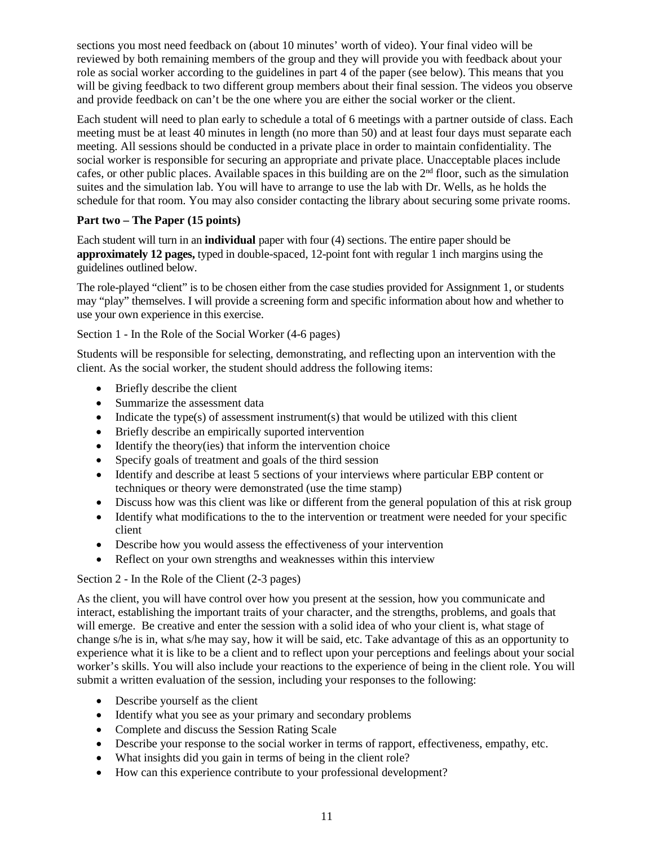sections you most need feedback on (about 10 minutes' worth of video). Your final video will be reviewed by both remaining members of the group and they will provide you with feedback about your role as social worker according to the guidelines in part 4 of the paper (see below). This means that you will be giving feedback to two different group members about their final session. The videos you observe and provide feedback on can't be the one where you are either the social worker or the client.

Each student will need to plan early to schedule a total of 6 meetings with a partner outside of class. Each meeting must be at least 40 minutes in length (no more than 50) and at least four days must separate each meeting. All sessions should be conducted in a private place in order to maintain confidentiality. The social worker is responsible for securing an appropriate and private place. Unacceptable places include cafes, or other public places. Available spaces in this building are on the  $2<sup>nd</sup>$  floor, such as the simulation suites and the simulation lab. You will have to arrange to use the lab with Dr. Wells, as he holds the schedule for that room. You may also consider contacting the library about securing some private rooms.

# **Part two – The Paper (15 points)**

Each student will turn in an **individual** paper with four (4) sections. The entire paper should be **approximately 12 pages,** typed in double-spaced, 12-point font with regular 1 inch margins using the guidelines outlined below.

The role-played "client" is to be chosen either from the case studies provided for Assignment 1, or students may "play" themselves. I will provide a screening form and specific information about how and whether to use your own experience in this exercise.

# Section 1 - In the Role of the Social Worker (4-6 pages)

Students will be responsible for selecting, demonstrating, and reflecting upon an intervention with the client. As the social worker, the student should address the following items:

- Briefly describe the client
- Summarize the assessment data
- Indicate the type(s) of assessment instrument(s) that would be utilized with this client
- Briefly describe an empirically suported intervention
- Identify the theory(ies) that inform the intervention choice
- Specify goals of treatment and goals of the third session
- Identify and describe at least 5 sections of your interviews where particular EBP content or techniques or theory were demonstrated (use the time stamp)
- Discuss how was this client was like or different from the general population of this at risk group
- Identify what modifications to the to the intervention or treatment were needed for your specific client
- Describe how you would assess the effectiveness of your intervention
- Reflect on your own strengths and weaknesses within this interview

### Section 2 - In the Role of the Client (2-3 pages)

As the client, you will have control over how you present at the session, how you communicate and interact, establishing the important traits of your character, and the strengths, problems, and goals that will emerge. Be creative and enter the session with a solid idea of who your client is, what stage of change s/he is in, what s/he may say, how it will be said, etc. Take advantage of this as an opportunity to experience what it is like to be a client and to reflect upon your perceptions and feelings about your social worker's skills. You will also include your reactions to the experience of being in the client role. You will submit a written evaluation of the session, including your responses to the following:

- Describe yourself as the client
- Identify what you see as your primary and secondary problems
- Complete and discuss the Session Rating Scale
- Describe your response to the social worker in terms of rapport, effectiveness, empathy, etc.
- What insights did you gain in terms of being in the client role?
- How can this experience contribute to your professional development?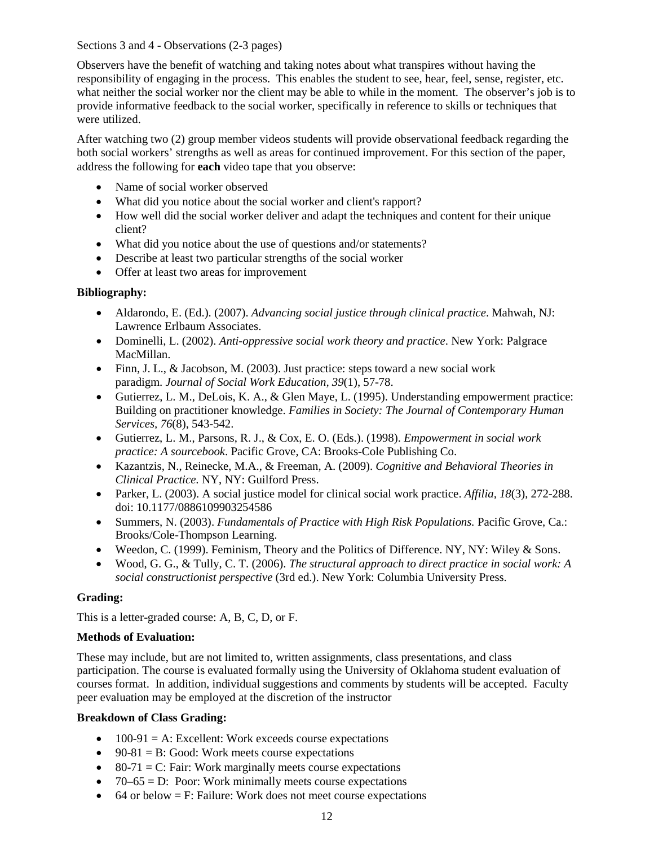Sections 3 and 4 - Observations (2-3 pages)

Observers have the benefit of watching and taking notes about what transpires without having the responsibility of engaging in the process. This enables the student to see, hear, feel, sense, register, etc. what neither the social worker nor the client may be able to while in the moment. The observer's job is to provide informative feedback to the social worker, specifically in reference to skills or techniques that were utilized.

After watching two (2) group member videos students will provide observational feedback regarding the both social workers' strengths as well as areas for continued improvement. For this section of the paper, address the following for **each** video tape that you observe:

- Name of social worker observed
- What did you notice about the social worker and client's rapport?
- How well did the social worker deliver and adapt the techniques and content for their unique client?
- What did you notice about the use of questions and/or statements?
- Describe at least two particular strengths of the social worker
- Offer at least two areas for improvement

# **Bibliography:**

- Aldarondo, E. (Ed.). (2007). *Advancing social justice through clinical practice*. Mahwah, NJ: Lawrence Erlbaum Associates.
- Dominelli, L. (2002). *Anti-oppressive social work theory and practice*. New York: Palgrace MacMillan.
- Finn, J. L., & Jacobson, M. (2003). Just practice: steps toward a new social work paradigm. *Journal of Social Work Education, 39*(1), 57-78.
- Gutierrez, L. M., DeLois, K. A., & Glen Maye, L. (1995). Understanding empowerment practice: Building on practitioner knowledge. *Families in Society: The Journal of Contemporary Human Services, 76*(8), 543-542.
- Gutierrez, L. M., Parsons, R. J., & Cox, E. O. (Eds.). (1998). *Empowerment in social work practice: A sourcebook*. Pacific Grove, CA: Brooks-Cole Publishing Co.
- Kazantzis, N., Reinecke, M.A., & Freeman, A. (2009). *Cognitive and Behavioral Theories in Clinical Practice.* NY, NY: Guilford Press.
- Parker, L. (2003). A social justice model for clinical social work practice. *Affilia, 18*(3), 272-288. doi: 10.1177/0886109903254586
- Summers, N. (2003). *Fundamentals of Practice with High Risk Populations.* Pacific Grove, Ca.: Brooks/Cole-Thompson Learning.
- Weedon, C. (1999). Feminism, Theory and the Politics of Difference. NY, NY: Wiley  $&$  Sons.
- Wood, G. G., & Tully, C. T. (2006). *The structural approach to direct practice in social work: A social constructionist perspective* (3rd ed.). New York: Columbia University Press.

### **Grading:**

This is a letter-graded course: A, B, C, D, or F.

### **Methods of Evaluation:**

These may include, but are not limited to, written assignments, class presentations, and class participation. The course is evaluated formally using the University of Oklahoma student evaluation of courses format. In addition, individual suggestions and comments by students will be accepted. Faculty peer evaluation may be employed at the discretion of the instructor

### **Breakdown of Class Grading:**

- $\bullet$  100-91 = A: Excellent: Work exceeds course expectations
- 90-81 = B: Good: Work meets course expectations
- 80-71 = C: Fair: Work marginally meets course expectations
- $70-65 = D$ : Poor: Work minimally meets course expectations
- 64 or below  $=$  F: Failure: Work does not meet course expectations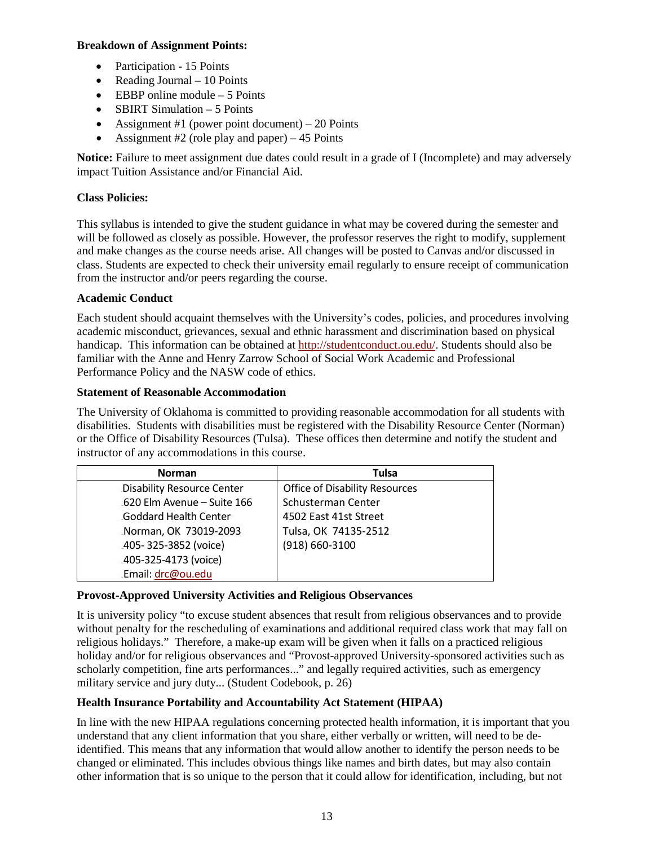### **Breakdown of Assignment Points:**

- Participation 15 Points
- Reading Journal 10 Points
- EBBP online module  $-5$  Points
- SBIRT Simulation 5 Points
- Assignment #1 (power point document) 20 Points
- Assignment #2 (role play and paper)  $-45$  Points

**Notice:** Failure to meet assignment due dates could result in a grade of I (Incomplete) and may adversely impact Tuition Assistance and/or Financial Aid.

# **Class Policies:**

This syllabus is intended to give the student guidance in what may be covered during the semester and will be followed as closely as possible. However, the professor reserves the right to modify, supplement and make changes as the course needs arise. All changes will be posted to Canvas and/or discussed in class. Students are expected to check their university email regularly to ensure receipt of communication from the instructor and/or peers regarding the course.

# **Academic Conduct**

Each student should acquaint themselves with the University's codes, policies, and procedures involving academic misconduct, grievances, sexual and ethnic harassment and discrimination based on physical handicap. This information can be obtained at [http://studentconduct.ou.edu/.](http://studentconduct.ou.edu/) Students should also be familiar with the Anne and Henry Zarrow School of Social Work Academic and Professional Performance Policy and the NASW code of ethics.

# **Statement of Reasonable Accommodation**

The University of Oklahoma is committed to providing reasonable accommodation for all students with disabilities. Students with disabilities must be registered with the Disability Resource Center (Norman) or the Office of Disability Resources (Tulsa). These offices then determine and notify the student and instructor of any accommodations in this course.

| <b>Norman</b>               | Tulsa                          |
|-----------------------------|--------------------------------|
| Disability Resource Center  | Office of Disability Resources |
| .620 Elm Avenue - Suite 166 | Schusterman Center             |
| Goddard Health Center       | 4502 East 41st Street          |
| Norman, OK 73019-2093       | Tulsa, OK 74135-2512           |
| .405-325-3852 (voice)       | $(918) 660 - 3100$             |
| .405-325-4173 (voice)       |                                |
| Email: drc@ou.edu           |                                |

# **Provost-Approved University Activities and Religious Observances**

It is university policy "to excuse student absences that result from religious observances and to provide without penalty for the rescheduling of examinations and additional required class work that may fall on religious holidays." Therefore, a make-up exam will be given when it falls on a practiced religious holiday and/or for religious observances and "Provost-approved University-sponsored activities such as scholarly competition, fine arts performances..." and legally required activities, such as emergency military service and jury duty... (Student Codebook, p. 26)

# **Health Insurance Portability and Accountability Act Statement (HIPAA)**

In line with the new HIPAA regulations concerning protected health information, it is important that you understand that any client information that you share, either verbally or written, will need to be deidentified. This means that any information that would allow another to identify the person needs to be changed or eliminated. This includes obvious things like names and birth dates, but may also contain other information that is so unique to the person that it could allow for identification, including, but not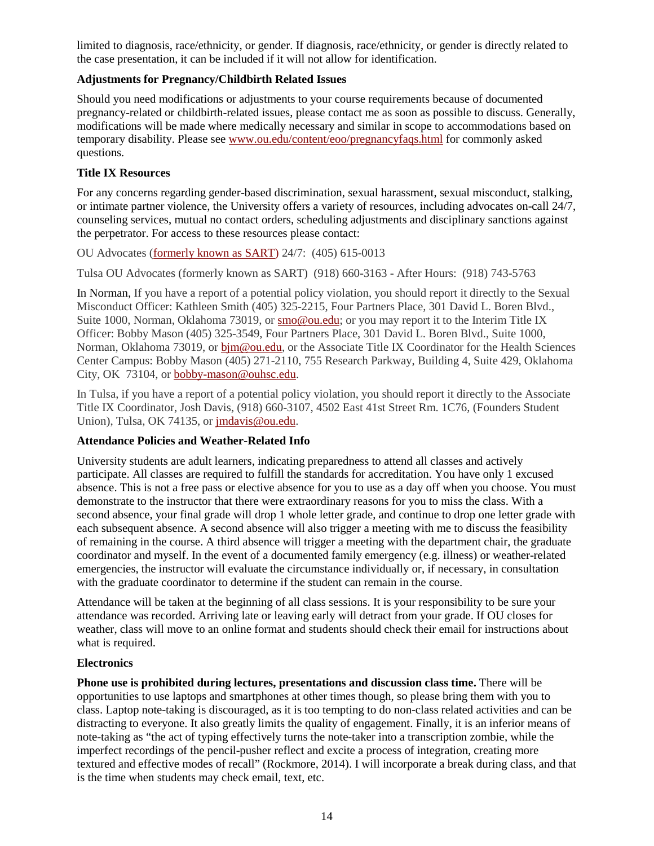limited to diagnosis, race/ethnicity, or gender. If diagnosis, race/ethnicity, or gender is directly related to the case presentation, it can be included if it will not allow for identification.

# **Adjustments for Pregnancy/Childbirth Related Issues**

Should you need modifications or adjustments to your course requirements because of documented pregnancy-related or childbirth-related issues, please contact me as soon as possible to discuss. Generally, modifications will be made where medically necessary and similar in scope to accommodations based on temporary disability. Please see [www.ou.edu/content/eoo/pregnancyfaqs.html](http://www.ou.edu/content/eoo/pregnancyfaqs.html) for commonly asked questions.

# **Title IX Resources**

For any concerns regarding gender-based discrimination, sexual harassment, sexual misconduct, stalking, or intimate partner violence, the University offers a variety of resources, including advocates on-call 24/7, counseling services, mutual no contact orders, scheduling adjustments and disciplinary sanctions against the perpetrator. For access to these resources please contact:

OU Advocates [\(formerly known as SART\)](http://www.ou.edu/studentaffairs.html) 24/7: (405) 615-0013

Tulsa OU Advocates (formerly known as SART) (918) 660-3163 - After Hours: (918) 743-5763

In Norman, If you have a report of a potential policy violation, you should report it directly to the Sexual Misconduct Officer: Kathleen Smith (405) 325-2215, Four Partners Place, 301 David L. Boren Blvd., Suite 1000, Norman, Oklahoma 73019, or [smo@ou.edu;](mailto:%20smo@ou.edu) or you may report it to the Interim Title IX Officer: Bobby Mason (405) 325-3549, Four Partners Place, 301 David L. Boren Blvd., Suite 1000, Norman, Oklahoma 73019, or bj[m@ou.edu,](mailto:%20bjm@ou.edu) or the Associate Title IX Coordinator for the Health Sciences Center Campus: Bobby Mason (405) 271-2110, 755 Research Parkway, Building 4, Suite 429, Oklahoma City, OK 73104, o[r bobby-mason@ouhsc.edu.](mailto:%20bobby-mason@ouhsc.edu)

In Tulsa, if you have a report of a potential policy violation, you should report it directly to the Associate Title IX Coordinator, Josh Davis, (918) 660-3107, 4502 East 41st Street Rm. 1C76, (Founders Student Union), Tulsa, OK 74135, or [jmdavis@ou.edu.](mailto:jmdavis@ou.edu)

# **Attendance Policies and Weather-Related Info**

University students are adult learners, indicating preparedness to attend all classes and actively participate. All classes are required to fulfill the standards for accreditation. You have only 1 excused absence. This is not a free pass or elective absence for you to use as a day off when you choose. You must demonstrate to the instructor that there were extraordinary reasons for you to miss the class. With a second absence, your final grade will drop 1 whole letter grade, and continue to drop one letter grade with each subsequent absence. A second absence will also trigger a meeting with me to discuss the feasibility of remaining in the course. A third absence will trigger a meeting with the department chair, the graduate coordinator and myself. In the event of a documented family emergency (e.g. illness) or weather-related emergencies, the instructor will evaluate the circumstance individually or, if necessary, in consultation with the graduate coordinator to determine if the student can remain in the course.

Attendance will be taken at the beginning of all class sessions. It is your responsibility to be sure your attendance was recorded. Arriving late or leaving early will detract from your grade. If OU closes for weather, class will move to an online format and students should check their email for instructions about what is required.

# **Electronics**

**Phone use is prohibited during lectures, presentations and discussion class time.** There will be opportunities to use laptops and smartphones at other times though, so please bring them with you to class. Laptop note-taking is discouraged, as it is too tempting to do non-class related activities and can be distracting to everyone. It also greatly limits the quality of engagement. Finally, it is an inferior means of note-taking as "the act of typing effectively turns the note-taker into a transcription zombie, while the imperfect recordings of the pencil-pusher reflect and excite a process of integration, creating more textured and effective modes of recall" (Rockmore, 2014). I will incorporate a break during class, and that is the time when students may check email, text, etc.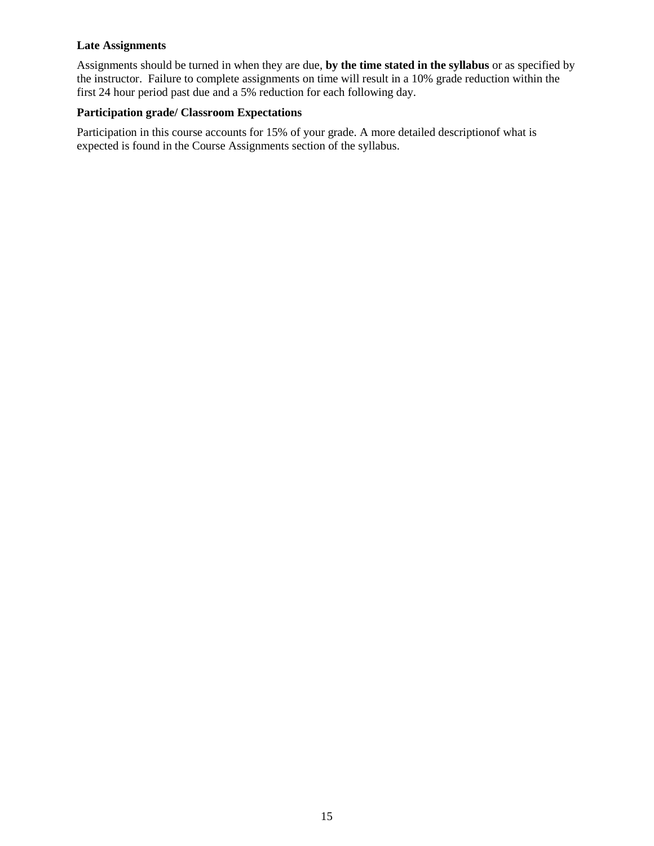### **Late Assignments**

Assignments should be turned in when they are due, **by the time stated in the syllabus** or as specified by the instructor. Failure to complete assignments on time will result in a 10% grade reduction within the first 24 hour period past due and a 5% reduction for each following day.

# **Participation grade/ Classroom Expectations**

Participation in this course accounts for 15% of your grade. A more detailed descriptionof what is expected is found in the Course Assignments section of the syllabus.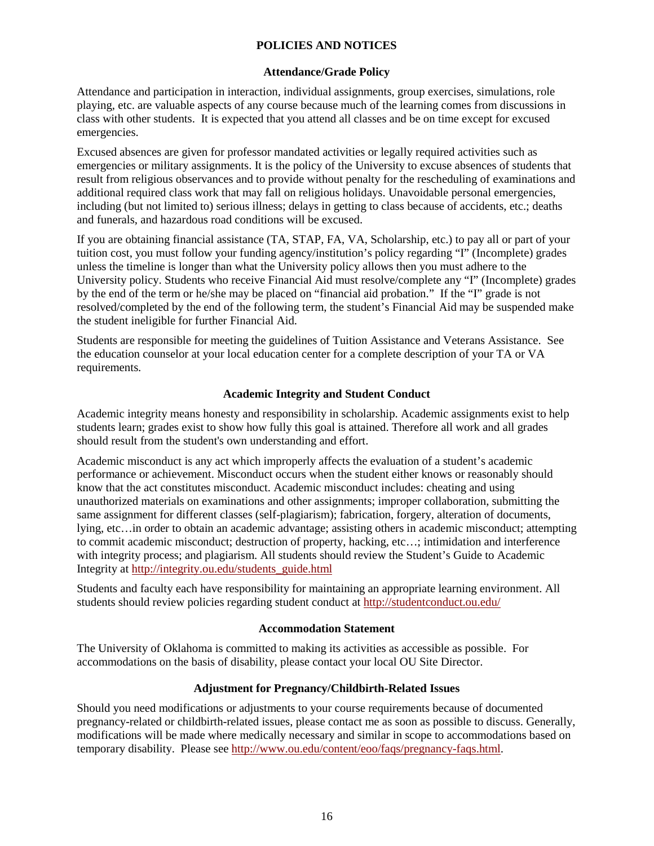### **POLICIES AND NOTICES**

#### **Attendance/Grade Policy**

Attendance and participation in interaction, individual assignments, group exercises, simulations, role playing, etc. are valuable aspects of any course because much of the learning comes from discussions in class with other students. It is expected that you attend all classes and be on time except for excused emergencies.

Excused absences are given for professor mandated activities or legally required activities such as emergencies or military assignments. It is the policy of the University to excuse absences of students that result from religious observances and to provide without penalty for the rescheduling of examinations and additional required class work that may fall on religious holidays. Unavoidable personal emergencies, including (but not limited to) serious illness; delays in getting to class because of accidents, etc.; deaths and funerals, and hazardous road conditions will be excused.

If you are obtaining financial assistance (TA, STAP, FA, VA, Scholarship, etc.) to pay all or part of your tuition cost, you must follow your funding agency/institution's policy regarding "I" (Incomplete) grades unless the timeline is longer than what the University policy allows then you must adhere to the University policy. Students who receive Financial Aid must resolve/complete any "I" (Incomplete) grades by the end of the term or he/she may be placed on "financial aid probation." If the "I" grade is not resolved/completed by the end of the following term, the student's Financial Aid may be suspended make the student ineligible for further Financial Aid.

Students are responsible for meeting the guidelines of Tuition Assistance and Veterans Assistance. See the education counselor at your local education center for a complete description of your TA or VA requirements.

# **Academic Integrity and Student Conduct**

Academic integrity means honesty and responsibility in scholarship. Academic assignments exist to help students learn; grades exist to show how fully this goal is attained. Therefore all work and all grades should result from the student's own understanding and effort.

Academic misconduct is any act which improperly affects the evaluation of a student's academic performance or achievement. Misconduct occurs when the student either knows or reasonably should know that the act constitutes misconduct. Academic misconduct includes: cheating and using unauthorized materials on examinations and other assignments; improper collaboration, submitting the same assignment for different classes (self-plagiarism); fabrication, forgery, alteration of documents, lying, etc…in order to obtain an academic advantage; assisting others in academic misconduct; attempting to commit academic misconduct; destruction of property, hacking, etc…; intimidation and interference with integrity process; and plagiarism. All students should review the Student's Guide to Academic Integrity at [http://integrity.ou.edu/students\\_guide.html](http://integrity.ou.edu/students_guide.html) 

Students and faculty each have responsibility for maintaining an appropriate learning environment. All students should review policies regarding student conduct at<http://studentconduct.ou.edu/>

### **Accommodation Statement**

The University of Oklahoma is committed to making its activities as accessible as possible. For accommodations on the basis of disability, please contact your local OU Site Director.

### **Adjustment for Pregnancy/Childbirth-Related Issues**

Should you need modifications or adjustments to your course requirements because of documented pregnancy-related or childbirth-related issues, please contact me as soon as possible to discuss. Generally, modifications will be made where medically necessary and similar in scope to accommodations based on temporary disability. Please see [http://www.ou.edu/content/eoo/faqs/pregnancy-faqs.html.](http://www.ou.edu/content/eoo/faqs/pregnancy-faqs.html)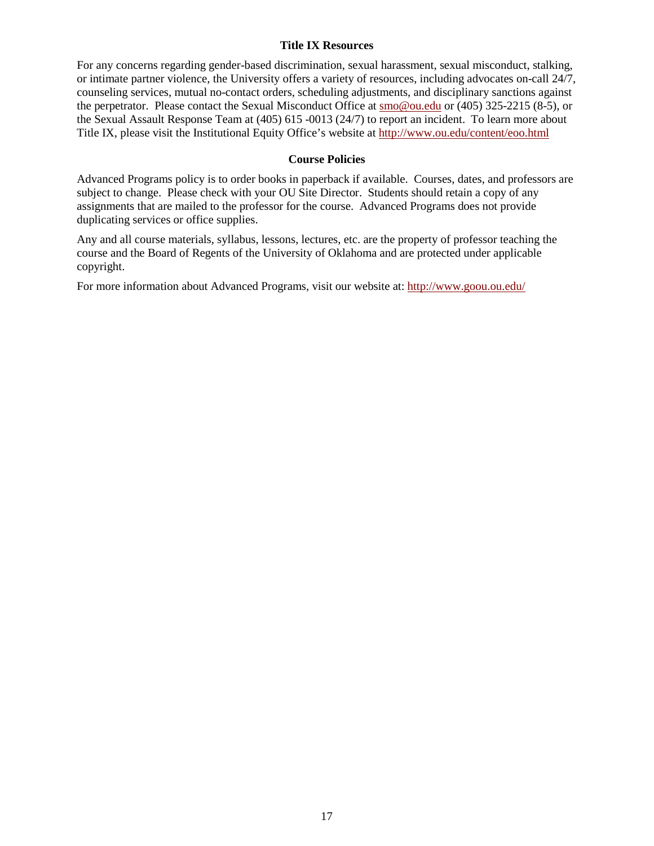#### **Title IX Resources**

For any concerns regarding gender-based discrimination, sexual harassment, sexual misconduct, stalking, or intimate partner violence, the University offers a variety of resources, including advocates on-call 24/7, counseling services, mutual no-contact orders, scheduling adjustments, and disciplinary sanctions against the perpetrator. Please contact the Sexual Misconduct Office at [smo@ou.edu](mailto:smo@ou.edu) or (405) 325-2215 (8-5), or the Sexual Assault Response Team at (405) 615 -0013 (24/7) to report an incident. To learn more about Title IX, please visit the Institutional Equity Office's website at<http://www.ou.edu/content/eoo.html>

### **Course Policies**

Advanced Programs policy is to order books in paperback if available. Courses, dates, and professors are subject to change. Please check with your OU Site Director. Students should retain a copy of any assignments that are mailed to the professor for the course. Advanced Programs does not provide duplicating services or office supplies.

Any and all course materials, syllabus, lessons, lectures, etc. are the property of professor teaching the course and the Board of Regents of the University of Oklahoma and are protected under applicable copyright.

For more information about Advanced Programs, visit our website at:<http://www.goou.ou.edu/>